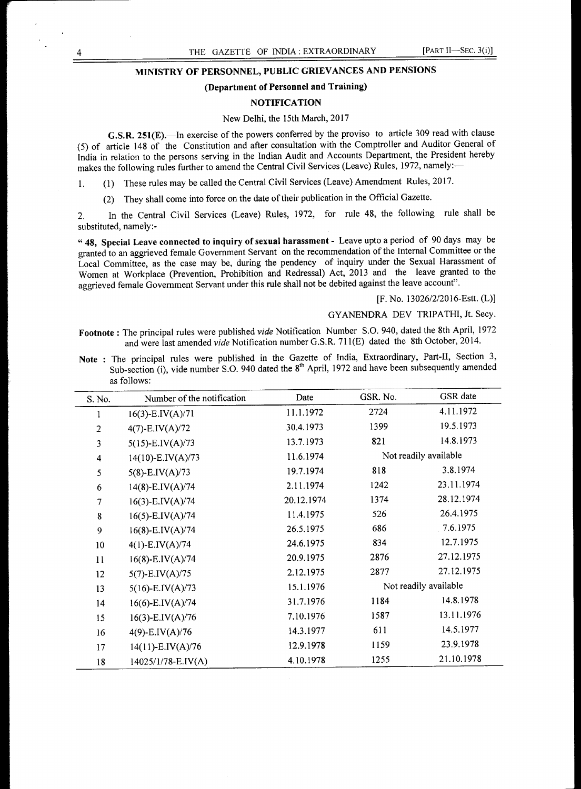# **MINISTRY OF PERSONNEL, PUBLIC GRIEVANCES AND PENSIONS**

# **(Department of Personnel and Training)**

## **NOTIFICATION**

### New Delhi, the 15th March, 2017

**G.S.R. 251(E).—In** exercise of the powers conferred by the proviso to article 309 read with clause (5) of article 148 of the Constitution and after consultation with the Comptroller and Auditor General of India in relation to the persons serving in the Indian Audit and Accounts Department, the President hereby makes the following rules further to amend the Central Civil Services (Leave) Rules, 1972, namely:-

1. (1) These rules may be called the Central Civil Services (Leave) Amendment Rules, 2017.

(2) They shall come into force on the date of their publication in the Official Gazette.

2. In the Central Civil Services (Leave) Rules, 1972, for rule 48, the following rule shall be substituted, namely:-

" **48, Special Leave connected to inquiry of sexual harassment -** Leave upto a period of 90 days may be granted to an aggrieved female Government Servant on the recommendation of the Internal Committee or the Local Committee, as the case may be, during the pendency of inquiry under the Sexual Harassment of Women at Workplace (Prevention, Prohibition and Redressal) Act, 2013 and the leave granted to the aggrieved female Government Servant under this rule shall not be debited against the leave account".

[F. No. 13026/2/2016-Estt. (L)]

# GYANENDRA DEV TRIPATHI, Jt. Secy.

**Footnote :** The principal rules were published *vide* Notification Number S.O. 940, dated the 8th April, 1972 and were last amended *vide* Notification number G.S.R. 711(E) dated the 8th October, 2014.

**Note :** The principal rules were published in the Gazette of India, Extraordinary, Part-II, Section 3, Sub-section (i), vide number S.O. 940 dated the  $8<sup>th</sup>$  April, 1972 and have been subsequently amended as follows:

| S. No.                  | Number of the notification | Date       | GSR. No.              | GSR date              |
|-------------------------|----------------------------|------------|-----------------------|-----------------------|
|                         | $16(3)$ -E.IV(A)/71        | 11.1.1972  | 2724                  | 4.11.1972             |
| $\mathbf{2}$            | $4(7)$ -E.IV(A)/72         | 30.4.1973  | 1399                  | 19.5.1973             |
| 3                       | $5(15)$ -E.IV(A)/73        | 13.7.1973  | 821                   | 14.8.1973             |
| $\overline{\mathbf{4}}$ | $14(10)$ -E.IV(A)/73       | 11.6.1974  |                       | Not readily available |
| 5                       | $5(8)$ -E.IV(A)/73         | 19.7.1974  | 818                   | 3.8.1974              |
| 6                       | $14(8)$ -E.IV(A)/74        | 2.11.1974  | 1242                  | 23.11.1974            |
| 7                       | $16(3)$ -E.IV(A)/74        | 20.12.1974 | 1374                  | 28.12.1974            |
| ${\bf 8}$               | $16(5)$ -E.IV(A)/74        | 11.4.1975  | 526                   | 26.4.1975             |
| 9                       | $16(8)$ -E.IV $(A)/74$     | 26.5.1975  | 686                   | 7.6.1975              |
| 10                      | $4(1)$ -E.IV(A)/74         | 24.6.1975  | 834                   | 12.7.1975             |
| 11                      | $16(8)$ -E.IV(A)/74        | 20.9.1975  | 2876                  | 27.12.1975            |
| 12                      | $5(7)$ -E.IV(A)/75         | 2.12.1975  | 2877                  | 27.12.1975            |
| 13                      | $5(16)$ -E.IV(A)/73        | 15.1.1976  | Not readily available |                       |
| 14                      | $16(6)$ -E.IV $(A)/74$     | 31.7.1976  | 1184                  | 14.8.1978             |
| 15                      | 16(3)-E.IV(A)/76           | 7.10.1976  | 1587                  | 13.11.1976            |
| 16                      | 4(9)-E.IV(A)/76            | 14.3.1977  | 611                   | 14.5.1977             |
| 17                      | $14(11)$ -E.IV(A)/76       | 12.9.1978  | 1159                  | 23.9.1978             |
| 18                      | 14025/1/78-E.IV(A)         | 4.10.1978  | 1255                  | 21.10.1978            |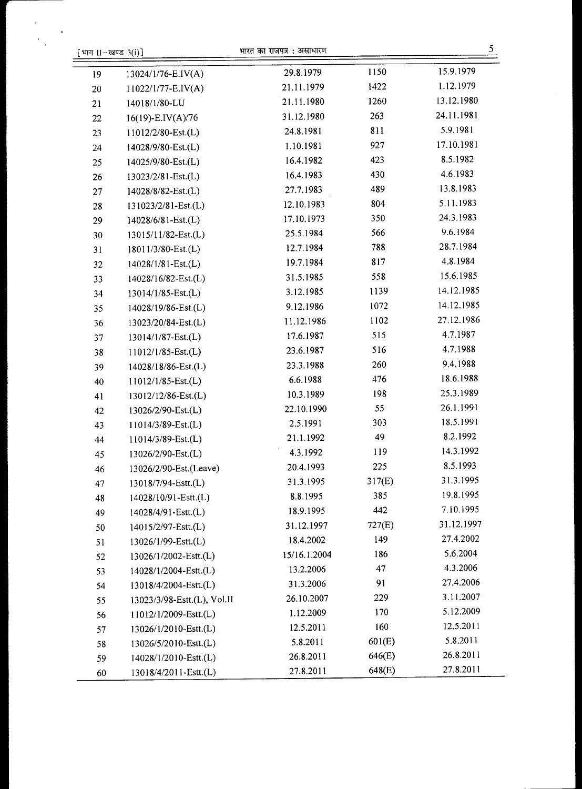| भाग $II$ -खण्ड $3(i)$ ] |                             | भारत का राजपत्र : असाधारण |        | 5          |
|-------------------------|-----------------------------|---------------------------|--------|------------|
| 19                      | 13024/1/76-E.IV(A)          | 29.8.1979                 | 1150   | 15.9.1979  |
| 20                      | 11022/1/77-E.IV(A)          | 21.11.1979                | 1422   | 1.12.1979  |
| 21                      | 14018/1/80-LU               | 21.11.1980                | 1260   | 13.12.1980 |
| 22                      | $16(19)$ -E.IV(A)/76        | 31.12.1980                | 263    | 24.11.1981 |
| 23                      | 11012/2/80-Est.(L)          | 24.8.1981                 | 811    | 5.9.1981   |
| 24                      | 14028/9/80-Est.(L)          | 1.10.1981                 | 927    | 17.10.1981 |
| 25                      | 14025/9/80-Est.(L)          | 16.4.1982                 | 423    | 8.5.1982   |
| 26                      | 13023/2/81-Est.(L)          | 16.4.1983                 | 430    | 4.6.1983   |
| 27                      | 14028/8/82-Est.(L)          | 27.7.1983                 | 489    | 13.8.1983  |
| 28                      | 131023/2/81-Est.(L)         | 12.10.1983                | 804    | 5.11.1983  |
| 29                      | 14028/6/81-Est.(L)          | 17.10.1973                | 350    | 24.3.1983  |
| 30                      | 13015/11/82-Est.(L)         | 25.5.1984                 | 566    | 9.6.1984   |
| 31                      | 18011/3/80-Est.(L)          | 12.7.1984                 | 788    | 28.7.1984  |
| 32                      | 14028/1/81-Est.(L)          | 19.7.1984                 | 817    | 4.8.1984   |
| 33                      | 14028/16/82-Est.(L)         | 31.5.1985                 | 558    | 15.6.1985  |
| 34                      | 13014/1/85-Est.(L)          | 3.12.1985                 | 1139   | 14.12.1985 |
| 35                      | 14028/19/86-Est.(L)         | 9.12.1986                 | 1072   | 14.12.1985 |
| 36                      | 13023/20/84-Est.(L)         | 11.12.1986                | 1102   | 27.12.1986 |
| 37                      | 13014/1/87-Est.(L)          | 17.6.1987                 | 515    | 4.7.1987   |
| 38                      | 11012/1/85-Est.(L)          | 23.6.1987                 | 516    | 4.7.1988   |
| 39                      | 14028/18/86-Est.(L)         | 23.3.1988                 | 260    | 9.4.1988   |
| 40                      | $11012/1/85$ -Est.(L)       | 6.6.1988                  | 476    | 18.6.1988  |
| 41                      | 13012/12/86-Est.(L)         | 10.3.1989                 | 198    | 25.3.1989  |
| 42                      | 13026/2/90-Est.(L)          | 22.10.1990                | 55     | 26.1.1991  |
| 43                      | 11014/3/89-Est.(L)          | 2.5.1991                  | 303    | 18.5.1991  |
| 44                      | 11014/3/89-Est.(L)          | 21.1.1992                 | 49     | 8.2.1992   |
| 45                      | 13026/2/90-Est.(L)          | 4.3.1992                  | 119    | 14.3.1992  |
| 46                      | 13026/2/90-Est.(Leave)      | 20.4.1993                 | 225    | 8.5.1993   |
| 47                      | 13018/7/94-Estt.(L)         | 31.3.1995                 | 317(E) | 31.3.1995  |
| 48                      | 14028/10/91-Estt.(L)        | 8.8.1995                  | 385    | 19.8.1995  |
| 49                      | 14028/4/91-Estt.(L)         | 18.9.1995                 | 442    | 7.10.1995  |
| 50                      | 14015/2/97-Estt.(L)         | 31.12.1997                | 727(E) | 31.12.1997 |
| 51                      | 13026/1/99-Estt.(L)         | 18.4.2002                 | 149    | 27.4.2002  |
| 52                      | 13026/1/2002-Estt.(L)       | 15/16.1.2004              | 186    | 5.6.2004   |
| 53                      | 14028/1/2004-Estt.(L)       | 13.2.2006                 | 47     | 4.3.2006   |
| 54                      | 13018/4/2004-Estt.(L)       | 31.3.2006                 | 91     | 27.4.2006  |
| 55                      | 13023/3/98-Estt.(L), Vol.II | 26.10.2007                | 229    | 3.11.2007  |
| 56                      | 11012/1/2009-Estt.(L)       | 1.12.2009                 | 170    | 5.12.2009  |
| 57                      | 13026/1/2010-Estt.(L)       | 12.5.2011                 | 160    | 12.5.2011  |
| 58                      | 13026/5/2010-Estt.(L)       | 5.8.2011                  | 601(E) | 5.8.2011   |
| 59                      | 14028/1/2010-Estt.(L)       | 26.8.2011                 | 646(E) | 26.8.2011  |
| 60                      | 13018/4/2011-Estt.(L)       | 27.8.2011                 | 648(E) | 27.8.2011  |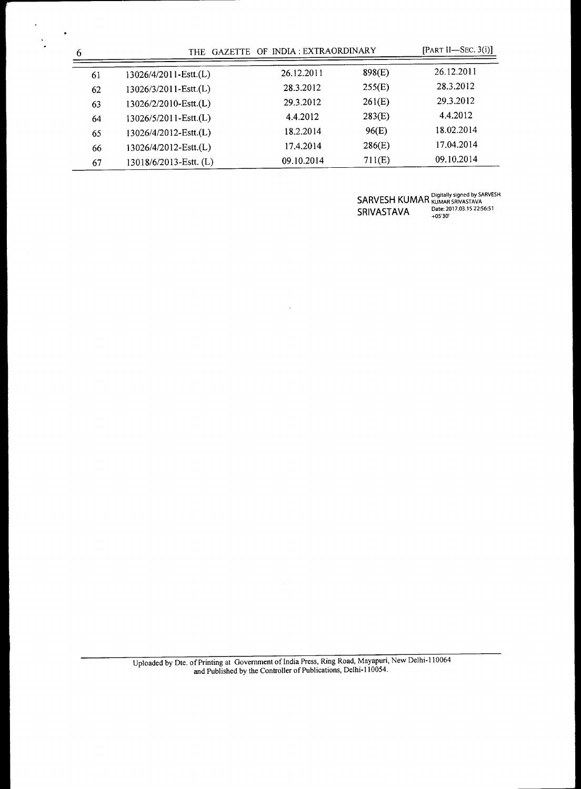| 6  | GAZETTE OF INDIA : EXTRAORDINARY<br>THE |            |        | [PART II-SEC. $3(i)$ ] |
|----|-----------------------------------------|------------|--------|------------------------|
| 61 | 13026/4/2011-Estt.(L)                   | 26.12.2011 | 898(E) | 26.12.2011             |
| 62 | 13026/3/2011-Estt.(L)                   | 28.3.2012  | 255(E) | 28.3.2012              |
| 63 | 13026/2/2010-Estt.(L)                   | 29.3.2012  | 261(E) | 29.3.2012              |
| 64 | 13026/5/2011-Estt.(L)                   | 4.4.2012   | 283(E) | 4.4.2012               |
| 65 | 13026/4/2012-Estt.(L)                   | 18.2.2014  | 96(E)  | 18.02.2014             |
| 66 | 13026/4/2012-Estt.(L)                   | 17.4.2014  | 286(E) | 17.04.2014             |
| 67 | $13018/6/2013$ -Estt. (L)               | 09.10.2014 | 711(E) | 09.10.2014             |

 $\bar{\mathcal{A}}$ 

 $\mathsf{SARVESH}$  KUMAR  $_\mathtt{KUMAR}^\mathtt{Digitally~signed~by~SARVESH}$  $SRIVASTAVA$  Date: 2017.03.15 22:56:51

Uploaded by Dte. of Printing at Government of India Press, Ring Road, Mayapuri, New Delhi-110064 and Published by the Controller of Publications, Delhi-110054.